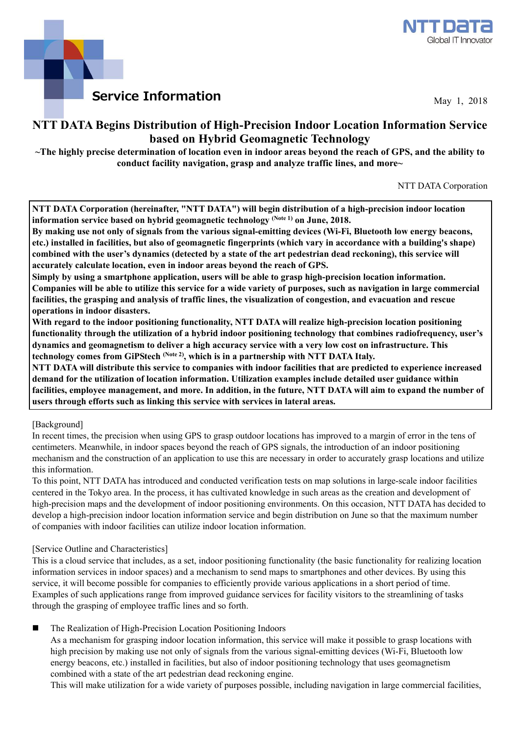



May 1, 2018

## **NTT DATA Begins Distribution of High-Precision Indoor Location Information Service based on Hybrid Geomagnetic Technology**

**~The highly precise determination of location even in indoor areas beyond the reach of GPS, and the ability to conduct facility navigation, grasp and analyze traffic lines, and more~** 

NTT DATA Corporation

**NTT DATA Corporation (hereinafter, "NTT DATA") will begin distribution of a high-precision indoor location information service based on hybrid geomagnetic technology (Note 1) on June, 2018.** 

**By making use not only of signals from the various signal-emitting devices (Wi-Fi, Bluetooth low energy beacons, etc.) installed in facilities, but also of geomagnetic fingerprints (which vary in accordance with a building's shape) combined with the user's dynamics (detected by a state of the art pedestrian dead reckoning), this service will accurately calculate location, even in indoor areas beyond the reach of GPS.** 

**Simply by using a smartphone application, users will be able to grasp high-precision location information. Companies will be able to utilize this service for a wide variety of purposes, such as navigation in large commercial facilities, the grasping and analysis of traffic lines, the visualization of congestion, and evacuation and rescue operations in indoor disasters.** 

**With regard to the indoor positioning functionality, NTT DATA will realize high-precision location positioning functionality through the utilization of a hybrid indoor positioning technology that combines radiofrequency, user's dynamics and geomagnetism to deliver a high accuracy service with a very low cost on infrastructure. This**  technology comes from GiPStech <sup>(Note 2)</sup>, which is in a partnership with NTT DATA Italy.

**NTT DATA will distribute this service to companies with indoor facilities that are predicted to experience increased demand for the utilization of location information. Utilization examples include detailed user guidance within facilities, employee management, and more. In addition, in the future, NTT DATA will aim to expand the number of users through efforts such as linking this service with services in lateral areas.** 

[Background]

In recent times, the precision when using GPS to grasp outdoor locations has improved to a margin of error in the tens of centimeters. Meanwhile, in indoor spaces beyond the reach of GPS signals, the introduction of an indoor positioning mechanism and the construction of an application to use this are necessary in order to accurately grasp locations and utilize this information.

To this point, NTT DATA has introduced and conducted verification tests on map solutions in large-scale indoor facilities centered in the Tokyo area. In the process, it has cultivated knowledge in such areas as the creation and development of high-precision maps and the development of indoor positioning environments. On this occasion, NTT DATA has decided to develop a high-precision indoor location information service and begin distribution on June so that the maximum number of companies with indoor facilities can utilize indoor location information.

## [Service Outline and Characteristics]

This is a cloud service that includes, as a set, indoor positioning functionality (the basic functionality for realizing location information services in indoor spaces) and a mechanism to send maps to smartphones and other devices. By using this service, it will become possible for companies to efficiently provide various applications in a short period of time. Examples of such applications range from improved guidance services for facility visitors to the streamlining of tasks through the grasping of employee traffic lines and so forth.

The Realization of High-Precision Location Positioning Indoors

As a mechanism for grasping indoor location information, this service will make it possible to grasp locations with high precision by making use not only of signals from the various signal-emitting devices (Wi-Fi, Bluetooth low energy beacons, etc.) installed in facilities, but also of indoor positioning technology that uses geomagnetism combined with a state of the art pedestrian dead reckoning engine.

This will make utilization for a wide variety of purposes possible, including navigation in large commercial facilities,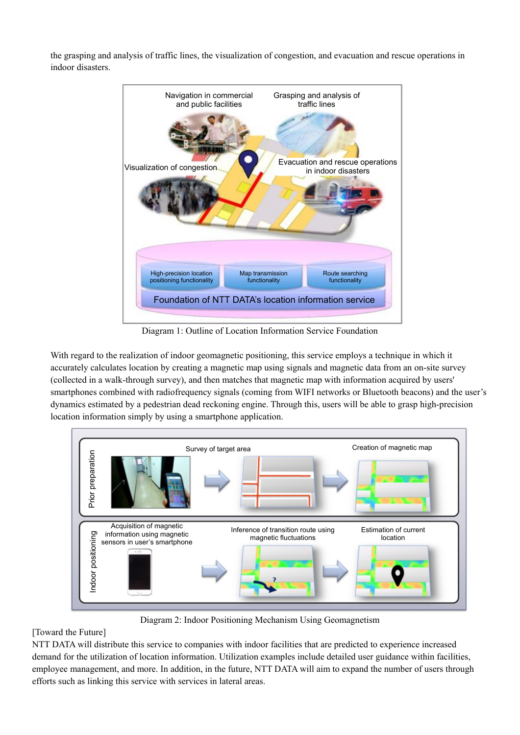the grasping and analysis of traffic lines, the visualization of congestion, and evacuation and rescue operations in indoor disasters.



Diagram 1: Outline of Location Information Service Foundation

With regard to the realization of indoor geomagnetic positioning, this service employs a technique in which it accurately calculates location by creating a magnetic map using signals and magnetic data from an on-site survey (collected in a walk-through survey), and then matches that magnetic map with information acquired by users' smartphones combined with radiofrequency signals (coming from WIFI networks or Bluetooth beacons) and the user's dynamics estimated by a pedestrian dead reckoning engine. Through this, users will be able to grasp high-precision location information simply by using a smartphone application.



Diagram 2: Indoor Positioning Mechanism Using Geomagnetism

## [Toward the Future]

NTT DATA will distribute this service to companies with indoor facilities that are predicted to experience increased demand for the utilization of location information. Utilization examples include detailed user guidance within facilities, employee management, and more. In addition, in the future, NTT DATA will aim to expand the number of users through efforts such as linking this service with services in lateral areas.